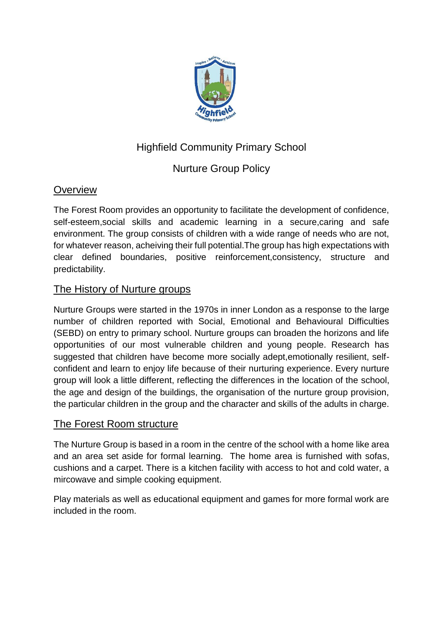

# Highfield Community Primary School

# Nurture Group Policy

# **Overview**

The Forest Room provides an opportunity to facilitate the development of confidence, self-esteem,social skills and academic learning in a secure,caring and safe environment. The group consists of children with a wide range of needs who are not, for whatever reason, acheiving their full potential.The group has high expectations with clear defined boundaries, positive reinforcement,consistency, structure and predictability.

# The History of Nurture groups

Nurture Groups were started in the 1970s in inner London as a response to the large number of children reported with Social, Emotional and Behavioural Difficulties (SEBD) on entry to primary school. Nurture groups can broaden the horizons and life opportunities of our most vulnerable children and young people. Research has suggested that children have become more socially adept,emotionally resilient, selfconfident and learn to enjoy life because of their nurturing experience. Every nurture group will look a little different, reflecting the differences in the location of the school, the age and design of the buildings, the organisation of the nurture group provision, the particular children in the group and the character and skills of the adults in charge.

# The Forest Room structure

The Nurture Group is based in a room in the centre of the school with a home like area and an area set aside for formal learning. The home area is furnished with sofas, cushions and a carpet. There is a kitchen facility with access to hot and cold water, a mircowave and simple cooking equipment.

Play materials as well as educational equipment and games for more formal work are included in the room.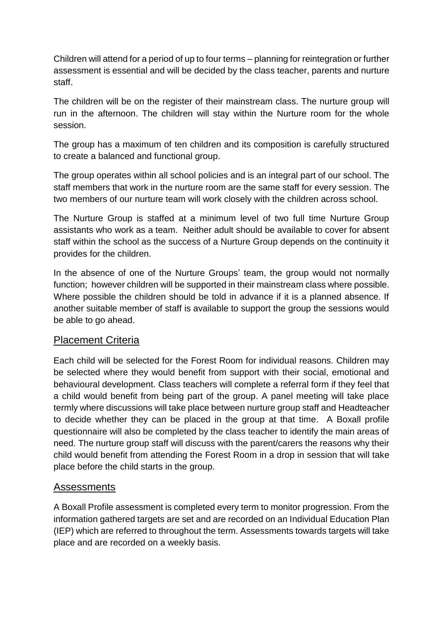Children will attend for a period of up to four terms – planning for reintegration or further assessment is essential and will be decided by the class teacher, parents and nurture staff.

The children will be on the register of their mainstream class. The nurture group will run in the afternoon. The children will stay within the Nurture room for the whole session.

The group has a maximum of ten children and its composition is carefully structured to create a balanced and functional group.

The group operates within all school policies and is an integral part of our school. The staff members that work in the nurture room are the same staff for every session. The two members of our nurture team will work closely with the children across school.

The Nurture Group is staffed at a minimum level of two full time Nurture Group assistants who work as a team. Neither adult should be available to cover for absent staff within the school as the success of a Nurture Group depends on the continuity it provides for the children.

In the absence of one of the Nurture Groups' team, the group would not normally function; however children will be supported in their mainstream class where possible. Where possible the children should be told in advance if it is a planned absence. If another suitable member of staff is available to support the group the sessions would be able to go ahead.

## Placement Criteria

Each child will be selected for the Forest Room for individual reasons. Children may be selected where they would benefit from support with their social, emotional and behavioural development. Class teachers will complete a referral form if they feel that a child would benefit from being part of the group. A panel meeting will take place termly where discussions will take place between nurture group staff and Headteacher to decide whether they can be placed in the group at that time. A Boxall profile questionnaire will also be completed by the class teacher to identify the main areas of need. The nurture group staff will discuss with the parent/carers the reasons why their child would benefit from attending the Forest Room in a drop in session that will take place before the child starts in the group.

## Assessments

A Boxall Profile assessment is completed every term to monitor progression. From the information gathered targets are set and are recorded on an Individual Education Plan (IEP) which are referred to throughout the term. Assessments towards targets will take place and are recorded on a weekly basis.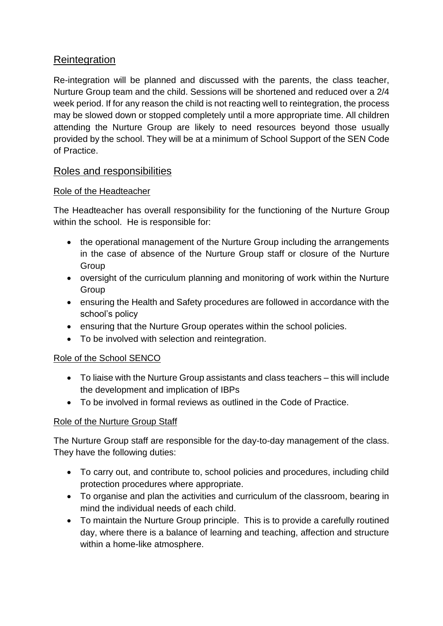## **Reintegration**

Re-integration will be planned and discussed with the parents, the class teacher, Nurture Group team and the child. Sessions will be shortened and reduced over a 2/4 week period. If for any reason the child is not reacting well to reintegration, the process may be slowed down or stopped completely until a more appropriate time. All children attending the Nurture Group are likely to need resources beyond those usually provided by the school. They will be at a minimum of School Support of the SEN Code of Practice.

## Roles and responsibilities

#### Role of the Headteacher

The Headteacher has overall responsibility for the functioning of the Nurture Group within the school. He is responsible for:

- the operational management of the Nurture Group including the arrangements in the case of absence of the Nurture Group staff or closure of the Nurture **Group**
- oversight of the curriculum planning and monitoring of work within the Nurture Group
- ensuring the Health and Safety procedures are followed in accordance with the school's policy
- ensuring that the Nurture Group operates within the school policies.
- To be involved with selection and reintegration.

#### Role of the School SENCO

- To liaise with the Nurture Group assistants and class teachers this will include the development and implication of IBPs
- To be involved in formal reviews as outlined in the Code of Practice.

#### Role of the Nurture Group Staff

The Nurture Group staff are responsible for the day-to-day management of the class. They have the following duties:

- To carry out, and contribute to, school policies and procedures, including child protection procedures where appropriate.
- To organise and plan the activities and curriculum of the classroom, bearing in mind the individual needs of each child.
- To maintain the Nurture Group principle. This is to provide a carefully routined day, where there is a balance of learning and teaching, affection and structure within a home-like atmosphere.